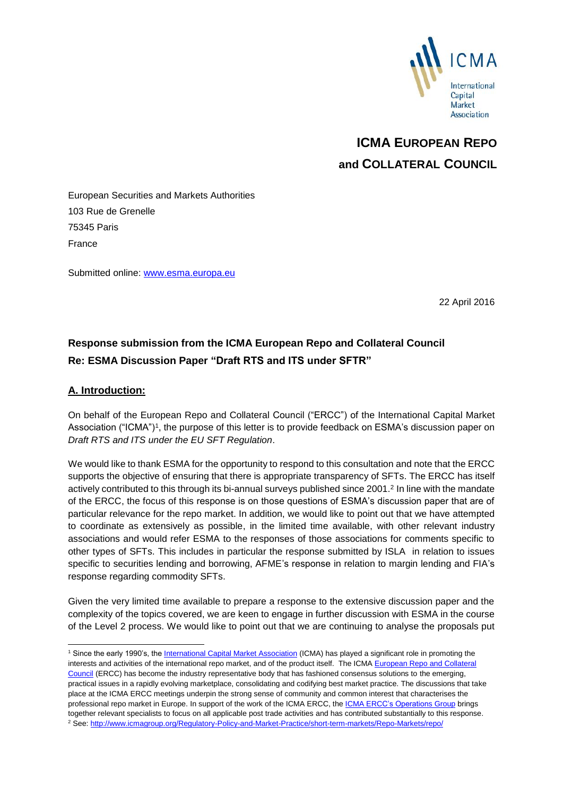

# **ICMA EUROPEAN REPO and COLLATERAL COUNCIL**

European Securities and Markets Authorities 103 Rue de Grenelle 75345 Paris France

Submitted online: [www.esma.europa.eu](http://www.esma.europa.eu/)

22 April 2016

# **Response submission from the ICMA European Repo and Collateral Council Re: ESMA Discussion Paper "Draft RTS and ITS under SFTR"**

#### **A. Introduction:**

-

On behalf of the European Repo and Collateral Council ("ERCC") of the International Capital Market Association ("ICMA")<sup>1</sup>, the purpose of this letter is to provide feedback on ESMA's discussion paper on *Draft RTS and ITS under the EU SFT Regulation*.

We would like to thank ESMA for the opportunity to respond to this consultation and note that the ERCC supports the objective of ensuring that there is appropriate transparency of SFTs. The ERCC has itself actively contributed to this through its bi-annual surveys published since 2001. 2 In line with the mandate of the ERCC, the focus of this response is on those questions of ESMA's discussion paper that are of particular relevance for the repo market. In addition, we would like to point out that we have attempted to coordinate as extensively as possible, in the limited time available, with other relevant industry associations and would refer ESMA to the responses of those associations for comments specific to other types of SFTs. This includes in particular the response submitted by ISLA in relation to issues specific to securities lending and borrowing, AFME's response in relation to margin lending and FIA's response regarding commodity SFTs.

Given the very limited time available to prepare a response to the extensive discussion paper and the complexity of the topics covered, we are keen to engage in further discussion with ESMA in the course of the Level 2 process. We would like to point out that we are continuing to analyse the proposals put

<sup>&</sup>lt;sup>1</sup> Since the early 1990's, the *International Capital Market Association* (ICMA) has played a significant role in promoting the interests and activities of the international repo market, and of the product itself. The ICMA [European Repo](http://www.icmagroup.org/About-ICMA/icma-councils-and-committees/European-Repo-Council/) and Collateral [Council](http://www.icmagroup.org/About-ICMA/icma-councils-and-committees/European-Repo-Council/) (ERCC) has become the industry representative body that has fashioned consensus solutions to the emerging, practical issues in a rapidly evolving marketplace, consolidating and codifying best market practice. The discussions that take place at the ICMA ERCC meetings underpin the strong sense of community and common interest that characterises the professional repo market in Europe. In support of the work of the ICMA ERCC, the **[ICMA ERCC's Operations Group](http://www.icmagroup.org/About-ICMA/icma-councils-and-committees/European-Repo-Council/European-Repo-Committee/ICMA-ERC-Operations-Group/)** brings together relevant specialists to focus on all applicable post trade activities and has contributed substantially to this response. <sup>2</sup> See[: http://www.icmagroup.org/Regulatory-Policy-and-Market-Practice/short-term-markets/Repo-Markets/repo/](http://www.icmagroup.org/Regulatory-Policy-and-Market-Practice/short-term-markets/Repo-Markets/repo/)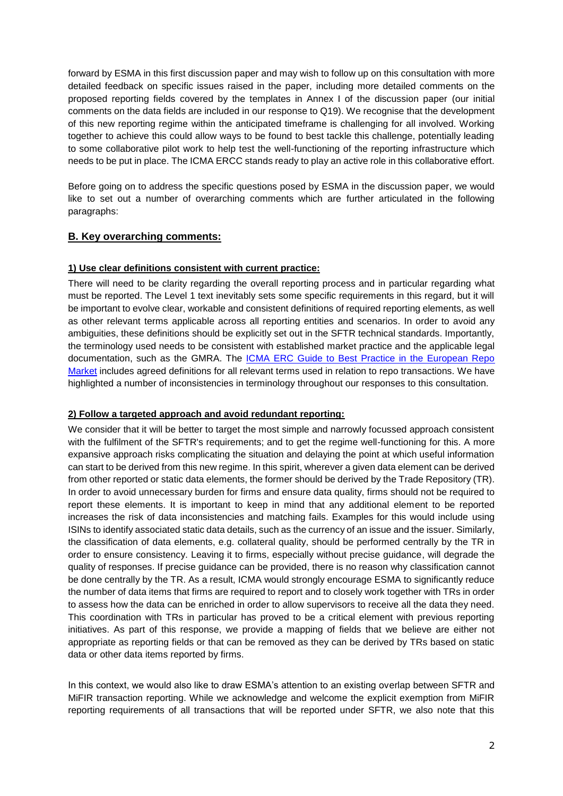forward by ESMA in this first discussion paper and may wish to follow up on this consultation with more detailed feedback on specific issues raised in the paper, including more detailed comments on the proposed reporting fields covered by the templates in Annex I of the discussion paper (our initial comments on the data fields are included in our response to Q19). We recognise that the development of this new reporting regime within the anticipated timeframe is challenging for all involved. Working together to achieve this could allow ways to be found to best tackle this challenge, potentially leading to some collaborative pilot work to help test the well-functioning of the reporting infrastructure which needs to be put in place. The ICMA ERCC stands ready to play an active role in this collaborative effort.

Before going on to address the specific questions posed by ESMA in the discussion paper, we would like to set out a number of overarching comments which are further articulated in the following paragraphs:

# **B. Key overarching comments:**

#### **1) Use clear definitions consistent with current practice:**

There will need to be clarity regarding the overall reporting process and in particular regarding what must be reported. The Level 1 text inevitably sets some specific requirements in this regard, but it will be important to evolve clear, workable and consistent definitions of required reporting elements, as well as other relevant terms applicable across all reporting entities and scenarios. In order to avoid any ambiguities, these definitions should be explicitly set out in the SFTR technical standards. Importantly, the terminology used needs to be consistent with established market practice and the applicable legal documentation, such as the GMRA. The [ICMA ERC Guide to Best Practice in the European Repo](http://www.icmagroup.org/Regulatory-Policy-and-Market-Practice/short-term-markets/Repo-Markets/repo0/)  [Market](http://www.icmagroup.org/Regulatory-Policy-and-Market-Practice/short-term-markets/Repo-Markets/repo0/) includes agreed definitions for all relevant terms used in relation to repo transactions. We have highlighted a number of inconsistencies in terminology throughout our responses to this consultation.

#### **2) Follow a targeted approach and avoid redundant reporting:**

We consider that it will be better to target the most simple and narrowly focussed approach consistent with the fulfilment of the SFTR's requirements; and to get the regime well-functioning for this. A more expansive approach risks complicating the situation and delaying the point at which useful information can start to be derived from this new regime. In this spirit, wherever a given data element can be derived from other reported or static data elements, the former should be derived by the Trade Repository (TR). In order to avoid unnecessary burden for firms and ensure data quality, firms should not be required to report these elements. It is important to keep in mind that any additional element to be reported increases the risk of data inconsistencies and matching fails. Examples for this would include using ISINs to identify associated static data details, such as the currency of an issue and the issuer. Similarly, the classification of data elements, e.g. collateral quality, should be performed centrally by the TR in order to ensure consistency. Leaving it to firms, especially without precise guidance, will degrade the quality of responses. If precise guidance can be provided, there is no reason why classification cannot be done centrally by the TR. As a result, ICMA would strongly encourage ESMA to significantly reduce the number of data items that firms are required to report and to closely work together with TRs in order to assess how the data can be enriched in order to allow supervisors to receive all the data they need. This coordination with TRs in particular has proved to be a critical element with previous reporting initiatives. As part of this response, we provide a mapping of fields that we believe are either not appropriate as reporting fields or that can be removed as they can be derived by TRs based on static data or other data items reported by firms.

In this context, we would also like to draw ESMA's attention to an existing overlap between SFTR and MiFIR transaction reporting. While we acknowledge and welcome the explicit exemption from MiFIR reporting requirements of all transactions that will be reported under SFTR, we also note that this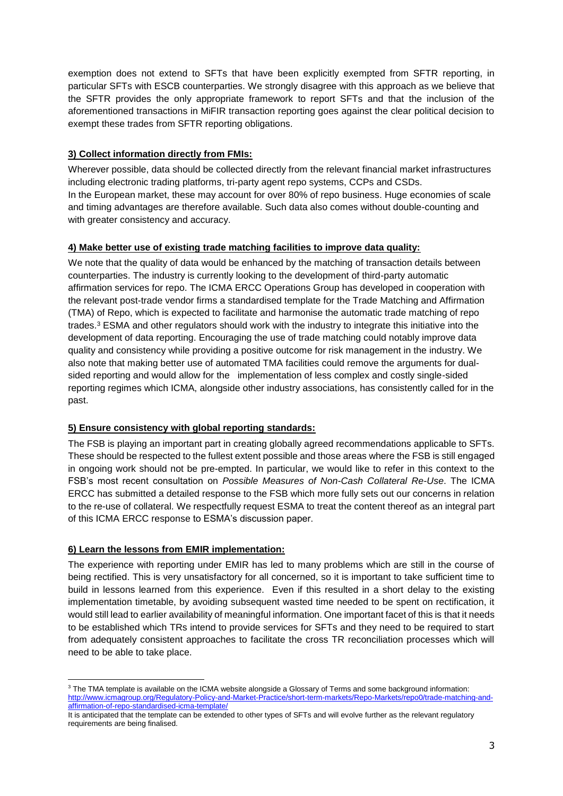exemption does not extend to SFTs that have been explicitly exempted from SFTR reporting, in particular SFTs with ESCB counterparties. We strongly disagree with this approach as we believe that the SFTR provides the only appropriate framework to report SFTs and that the inclusion of the aforementioned transactions in MiFIR transaction reporting goes against the clear political decision to exempt these trades from SFTR reporting obligations.

# **3) Collect information directly from FMIs:**

Wherever possible, data should be collected directly from the relevant financial market infrastructures including electronic trading platforms, tri-party agent repo systems, CCPs and CSDs. In the European market, these may account for over 80% of repo business. Huge economies of scale and timing advantages are therefore available. Such data also comes without double-counting and with greater consistency and accuracy.

# **4) Make better use of existing trade matching facilities to improve data quality:**

We note that the quality of data would be enhanced by the matching of transaction details between counterparties. The industry is currently looking to the development of third-party automatic affirmation services for repo. The ICMA ERCC Operations Group has developed in cooperation with the relevant post-trade vendor firms a standardised template for the Trade Matching and Affirmation (TMA) of Repo, which is expected to facilitate and harmonise the automatic trade matching of repo trades.<sup>3</sup> ESMA and other regulators should work with the industry to integrate this initiative into the development of data reporting. Encouraging the use of trade matching could notably improve data quality and consistency while providing a positive outcome for risk management in the industry. We also note that making better use of automated TMA facilities could remove the arguments for dualsided reporting and would allow for the implementation of less complex and costly single-sided reporting regimes which ICMA, alongside other industry associations, has consistently called for in the past.

# **5) Ensure consistency with global reporting standards:**

The FSB is playing an important part in creating globally agreed recommendations applicable to SFTs. These should be respected to the fullest extent possible and those areas where the FSB is still engaged in ongoing work should not be pre-empted. In particular, we would like to refer in this context to the FSB's most recent consultation on *Possible Measures of Non-Cash Collateral Re-Use*. The ICMA ERCC has submitted a detailed response to the FSB which more fully sets out our concerns in relation to the re-use of collateral. We respectfully request ESMA to treat the content thereof as an integral part of this ICMA ERCC response to ESMA's discussion paper.

# **6) Learn the lessons from EMIR implementation:**

The experience with reporting under EMIR has led to many problems which are still in the course of being rectified. This is very unsatisfactory for all concerned, so it is important to take sufficient time to build in lessons learned from this experience. Even if this resulted in a short delay to the existing implementation timetable, by avoiding subsequent wasted time needed to be spent on rectification, it would still lead to earlier availability of meaningful information. One important facet of this is that it needs to be established which TRs intend to provide services for SFTs and they need to be required to start from adequately consistent approaches to facilitate the cross TR reconciliation processes which will need to be able to take place.

<sup>-</sup><sup>3</sup> The TMA template is available on the ICMA website alongside a Glossary of Terms and some background information: [http://www.icmagroup.org/Regulatory-Policy-and-Market-Practice/short-term-markets/Repo-Markets/repo0/trade-matching-and](http://www.icmagroup.org/Regulatory-Policy-and-Market-Practice/short-term-markets/Repo-Markets/repo0/trade-matching-and-affirmation-of-repo-standardised-icma-template/)[affirmation-of-repo-standardised-icma-template/](http://www.icmagroup.org/Regulatory-Policy-and-Market-Practice/short-term-markets/Repo-Markets/repo0/trade-matching-and-affirmation-of-repo-standardised-icma-template/)

It is anticipated that the template can be extended to other types of SFTs and will evolve further as the relevant regulatory requirements are being finalised.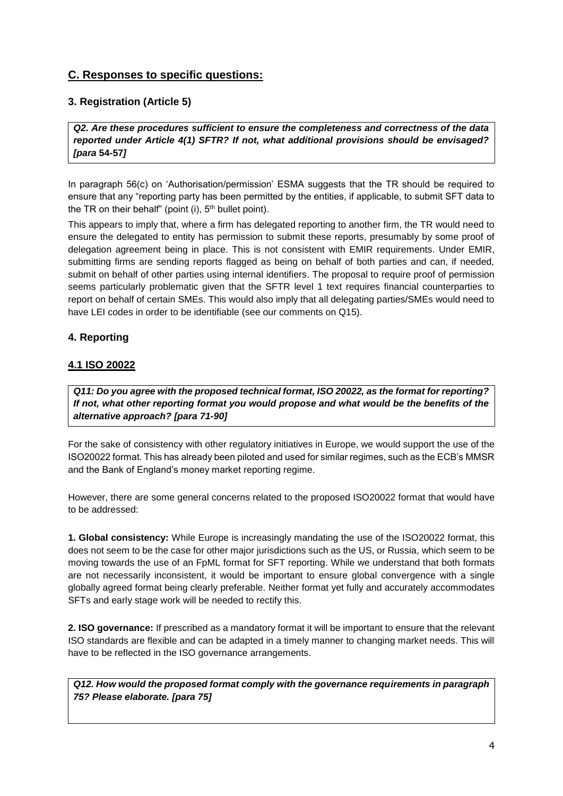# **C. Responses to specific questions:**

# **3. Registration (Article 5)**

*Q2. Are these procedures sufficient to ensure the completeness and correctness of the data reported under Article 4(1) SFTR? If not, what additional provisions should be envisaged? [para* **54-57***]*

In paragraph 56(c) on 'Authorisation/permission' ESMA suggests that the TR should be required to ensure that any "reporting party has been permitted by the entities, if applicable, to submit SFT data to the TR on their behalf" (point  $(i)$ ,  $5<sup>th</sup>$  bullet point).

This appears to imply that, where a firm has delegated reporting to another firm, the TR would need to ensure the delegated to entity has permission to submit these reports, presumably by some proof of delegation agreement being in place. This is not consistent with EMIR requirements. Under EMIR, submitting firms are sending reports flagged as being on behalf of both parties and can, if needed, submit on behalf of other parties using internal identifiers. The proposal to require proof of permission seems particularly problematic given that the SFTR level 1 text requires financial counterparties to report on behalf of certain SMEs. This would also imply that all delegating parties/SMEs would need to have LEI codes in order to be identifiable (see our comments on Q15).

# **4. Reporting**

# **4.1 ISO 20022**

*Q11: Do you agree with the proposed technical format, ISO 20022, as the format for reporting? If not, what other reporting format you would propose and what would be the benefits of the alternative approach? [para 71-90]* 

For the sake of consistency with other regulatory initiatives in Europe, we would support the use of the ISO20022 format. This has already been piloted and used for similar regimes, such as the ECB's MMSR and the Bank of England's money market reporting regime.

However, there are some general concerns related to the proposed ISO20022 format that would have to be addressed:

**1. Global consistency:** While Europe is increasingly mandating the use of the ISO20022 format, this does not seem to be the case for other major jurisdictions such as the US, or Russia, which seem to be moving towards the use of an FpML format for SFT reporting. While we understand that both formats are not necessarily inconsistent, it would be important to ensure global convergence with a single globally agreed format being clearly preferable. Neither format yet fully and accurately accommodates SFTs and early stage work will be needed to rectify this.

**2. ISO governance:** If prescribed as a mandatory format it will be important to ensure that the relevant ISO standards are flexible and can be adapted in a timely manner to changing market needs. This will have to be reflected in the ISO governance arrangements.

*Q12. How would the proposed format comply with the governance requirements in paragraph 75? Please elaborate. [para 75]*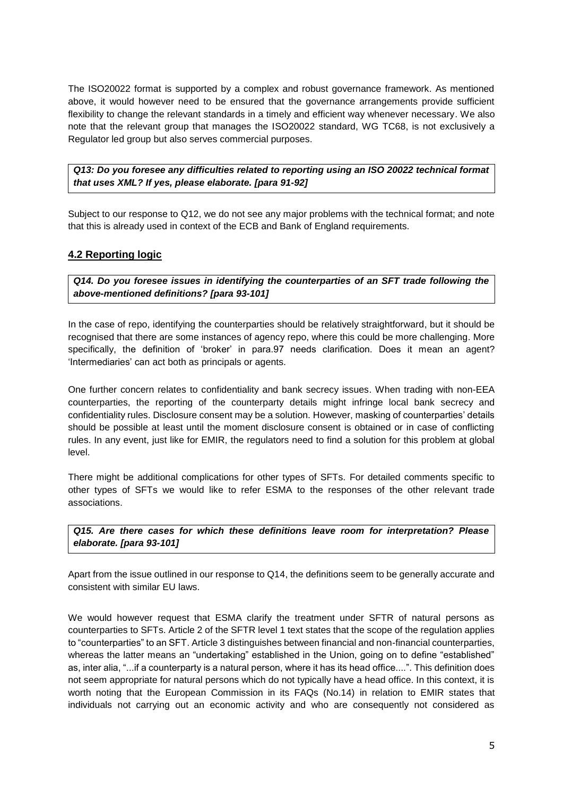The ISO20022 format is supported by a complex and robust governance framework. As mentioned above, it would however need to be ensured that the governance arrangements provide sufficient flexibility to change the relevant standards in a timely and efficient way whenever necessary. We also note that the relevant group that manages the ISO20022 standard, WG TC68, is not exclusively a Regulator led group but also serves commercial purposes.

*Q13: Do you foresee any difficulties related to reporting using an ISO 20022 technical format that uses XML? If yes, please elaborate. [para 91-92]*

Subject to our response to Q12, we do not see any major problems with the technical format; and note that this is already used in context of the ECB and Bank of England requirements.

# **4.2 Reporting logic**

*Q14. Do you foresee issues in identifying the counterparties of an SFT trade following the above-mentioned definitions? [para 93-101]*

In the case of repo, identifying the counterparties should be relatively straightforward, but it should be recognised that there are some instances of agency repo, where this could be more challenging. More specifically, the definition of 'broker' in para.97 needs clarification. Does it mean an agent? 'Intermediaries' can act both as principals or agents.

One further concern relates to confidentiality and bank secrecy issues. When trading with non-EEA counterparties, the reporting of the counterparty details might infringe local bank secrecy and confidentiality rules. Disclosure consent may be a solution. However, masking of counterparties' details should be possible at least until the moment disclosure consent is obtained or in case of conflicting rules. In any event, just like for EMIR, the regulators need to find a solution for this problem at global level.

There might be additional complications for other types of SFTs. For detailed comments specific to other types of SFTs we would like to refer ESMA to the responses of the other relevant trade associations.

*Q15. Are there cases for which these definitions leave room for interpretation? Please elaborate. [para 93-101]*

Apart from the issue outlined in our response to Q14, the definitions seem to be generally accurate and consistent with similar EU laws.

We would however request that ESMA clarify the treatment under SFTR of natural persons as counterparties to SFTs. Article 2 of the SFTR level 1 text states that the scope of the regulation applies to "counterparties" to an SFT. Article 3 distinguishes between financial and non-financial counterparties, whereas the latter means an "undertaking" established in the Union, going on to define "established" as, inter alia, "...if a counterparty is a natural person, where it has its head office....". This definition does not seem appropriate for natural persons which do not typically have a head office. In this context, it is worth noting that the European Commission in its FAQs (No.14) in relation to EMIR states that individuals not carrying out an economic activity and who are consequently not considered as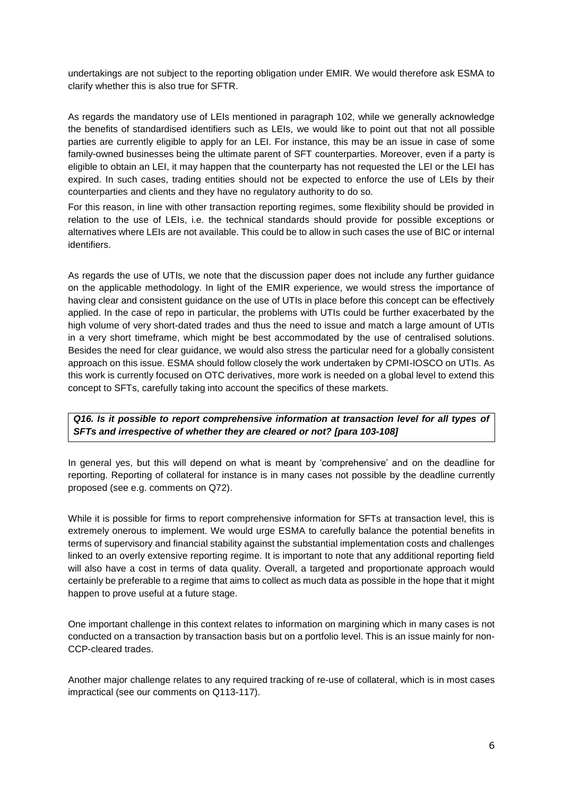undertakings are not subject to the reporting obligation under EMIR. We would therefore ask ESMA to clarify whether this is also true for SFTR.

As regards the mandatory use of LEIs mentioned in paragraph 102, while we generally acknowledge the benefits of standardised identifiers such as LEIs, we would like to point out that not all possible parties are currently eligible to apply for an LEI. For instance, this may be an issue in case of some family-owned businesses being the ultimate parent of SFT counterparties. Moreover, even if a party is eligible to obtain an LEI, it may happen that the counterparty has not requested the LEI or the LEI has expired. In such cases, trading entities should not be expected to enforce the use of LEIs by their counterparties and clients and they have no regulatory authority to do so.

For this reason, in line with other transaction reporting regimes, some flexibility should be provided in relation to the use of LEIs, i.e. the technical standards should provide for possible exceptions or alternatives where LEIs are not available. This could be to allow in such cases the use of BIC or internal identifiers.

As regards the use of UTIs, we note that the discussion paper does not include any further guidance on the applicable methodology. In light of the EMIR experience, we would stress the importance of having clear and consistent guidance on the use of UTIs in place before this concept can be effectively applied. In the case of repo in particular, the problems with UTIs could be further exacerbated by the high volume of very short-dated trades and thus the need to issue and match a large amount of UTIs in a very short timeframe, which might be best accommodated by the use of centralised solutions. Besides the need for clear guidance, we would also stress the particular need for a globally consistent approach on this issue. ESMA should follow closely the work undertaken by CPMI-IOSCO on UTIs. As this work is currently focused on OTC derivatives, more work is needed on a global level to extend this concept to SFTs, carefully taking into account the specifics of these markets.

*Q16. Is it possible to report comprehensive information at transaction level for all types of SFTs and irrespective of whether they are cleared or not? [para 103-108]*

In general yes, but this will depend on what is meant by 'comprehensive' and on the deadline for reporting. Reporting of collateral for instance is in many cases not possible by the deadline currently proposed (see e.g. comments on Q72).

While it is possible for firms to report comprehensive information for SFTs at transaction level, this is extremely onerous to implement. We would urge ESMA to carefully balance the potential benefits in terms of supervisory and financial stability against the substantial implementation costs and challenges linked to an overly extensive reporting regime. It is important to note that any additional reporting field will also have a cost in terms of data quality. Overall, a targeted and proportionate approach would certainly be preferable to a regime that aims to collect as much data as possible in the hope that it might happen to prove useful at a future stage.

One important challenge in this context relates to information on margining which in many cases is not conducted on a transaction by transaction basis but on a portfolio level. This is an issue mainly for non-CCP-cleared trades.

Another major challenge relates to any required tracking of re-use of collateral, which is in most cases impractical (see our comments on Q113-117).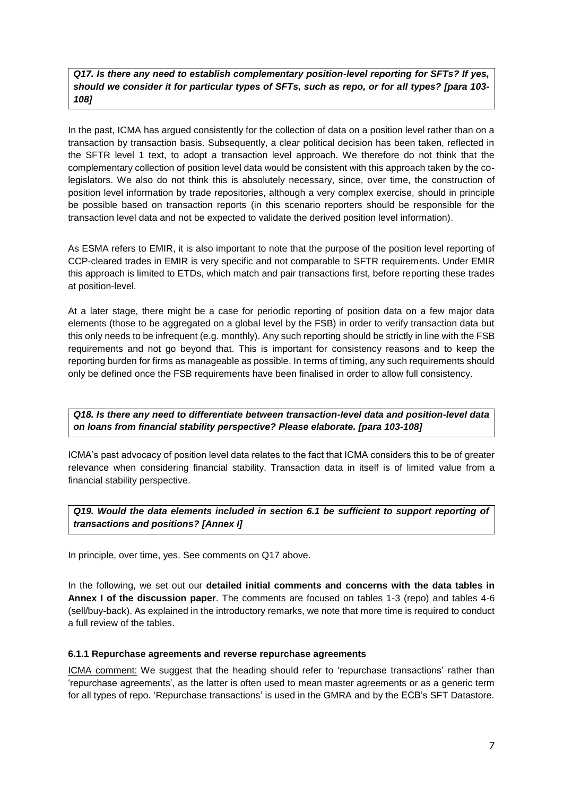*Q17. Is there any need to establish complementary position-level reporting for SFTs? If yes, should we consider it for particular types of SFTs, such as repo, or for all types? [para 103- 108]*

In the past, ICMA has argued consistently for the collection of data on a position level rather than on a transaction by transaction basis. Subsequently, a clear political decision has been taken, reflected in the SFTR level 1 text, to adopt a transaction level approach. We therefore do not think that the complementary collection of position level data would be consistent with this approach taken by the colegislators. We also do not think this is absolutely necessary, since, over time, the construction of position level information by trade repositories, although a very complex exercise, should in principle be possible based on transaction reports (in this scenario reporters should be responsible for the transaction level data and not be expected to validate the derived position level information).

As ESMA refers to EMIR, it is also important to note that the purpose of the position level reporting of CCP-cleared trades in EMIR is very specific and not comparable to SFTR requirements. Under EMIR this approach is limited to ETDs, which match and pair transactions first, before reporting these trades at position-level.

At a later stage, there might be a case for periodic reporting of position data on a few major data elements (those to be aggregated on a global level by the FSB) in order to verify transaction data but this only needs to be infrequent (e.g. monthly). Any such reporting should be strictly in line with the FSB requirements and not go beyond that. This is important for consistency reasons and to keep the reporting burden for firms as manageable as possible. In terms of timing, any such requirements should only be defined once the FSB requirements have been finalised in order to allow full consistency.

*Q18. Is there any need to differentiate between transaction-level data and position-level data on loans from financial stability perspective? Please elaborate. [para 103-108]*

ICMA's past advocacy of position level data relates to the fact that ICMA considers this to be of greater relevance when considering financial stability. Transaction data in itself is of limited value from a financial stability perspective.

*Q19. Would the data elements included in section 6.1 be sufficient to support reporting of transactions and positions? [Annex I]*

In principle, over time, yes. See comments on Q17 above.

In the following, we set out our **detailed initial comments and concerns with the data tables in Annex I of the discussion paper**. The comments are focused on tables 1-3 (repo) and tables 4-6 (sell/buy-back). As explained in the introductory remarks, we note that more time is required to conduct a full review of the tables.

#### **6.1.1 Repurchase agreements and reverse repurchase agreements**

ICMA comment: We suggest that the heading should refer to 'repurchase transactions' rather than 'repurchase agreements', as the latter is often used to mean master agreements or as a generic term for all types of repo. 'Repurchase transactions' is used in the GMRA and by the ECB's SFT Datastore.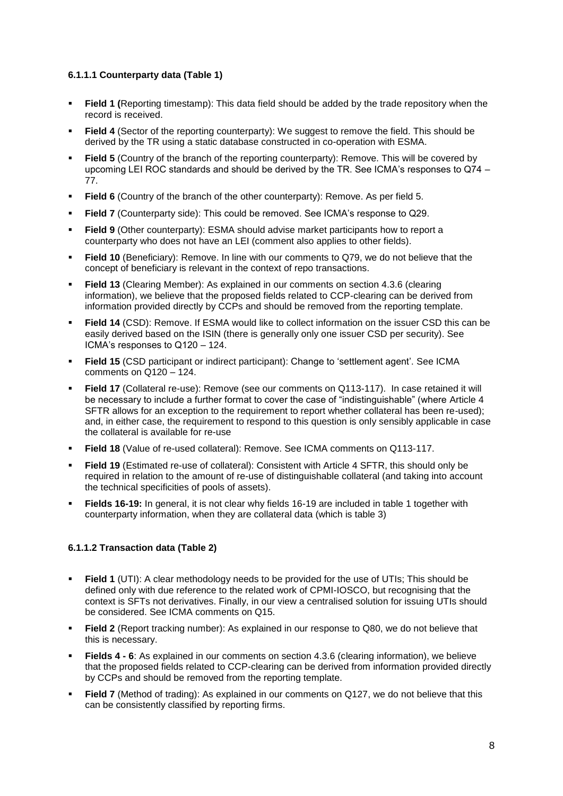#### **6.1.1.1 Counterparty data (Table 1)**

- **Field 1 (**Reporting timestamp): This data field should be added by the trade repository when the record is received.
- **Field 4** (Sector of the reporting counterparty): We suggest to remove the field. This should be derived by the TR using a static database constructed in co-operation with ESMA.
- **Field 5** (Country of the branch of the reporting counterparty): Remove. This will be covered by upcoming LEI ROC standards and should be derived by the TR. See ICMA's responses to Q74 – 77.
- **Field 6** (Country of the branch of the other counterparty): Remove. As per field 5.
- **Field 7** (Counterparty side): This could be removed. See ICMA's response to Q29.
- **Field 9** (Other counterparty): ESMA should advise market participants how to report a counterparty who does not have an LEI (comment also applies to other fields).
- **Field 10** (Beneficiary): Remove. In line with our comments to Q79, we do not believe that the concept of beneficiary is relevant in the context of repo transactions.
- **Field 13** (Clearing Member): As explained in our comments on section 4.3.6 (clearing information), we believe that the proposed fields related to CCP-clearing can be derived from information provided directly by CCPs and should be removed from the reporting template.
- **Field 14** (CSD): Remove. If ESMA would like to collect information on the issuer CSD this can be easily derived based on the ISIN (there is generally only one issuer CSD per security). See ICMA's responses to Q120 – 124.
- **Field 15** (CSD participant or indirect participant): Change to 'settlement agent'. See ICMA comments on Q120 – 124.
- **Field 17** (Collateral re-use): Remove (see our comments on Q113-117). In case retained it will be necessary to include a further format to cover the case of "indistinguishable" (where Article 4 SFTR allows for an exception to the requirement to report whether collateral has been re-used): and, in either case, the requirement to respond to this question is only sensibly applicable in case the collateral is available for re-use
- **Field 18** (Value of re-used collateral): Remove. See ICMA comments on Q113-117.
- **Field 19** (Estimated re-use of collateral): Consistent with Article 4 SFTR, this should only be required in relation to the amount of re-use of distinguishable collateral (and taking into account the technical specificities of pools of assets).
- **Fields 16-19:** In general, it is not clear why fields 16-19 are included in table 1 together with counterparty information, when they are collateral data (which is table 3)

#### **6.1.1.2 Transaction data (Table 2)**

- **Field 1** (UTI): A clear methodology needs to be provided for the use of UTIs; This should be defined only with due reference to the related work of CPMI-IOSCO, but recognising that the context is SFTs not derivatives. Finally, in our view a centralised solution for issuing UTIs should be considered. See ICMA comments on Q15.
- **Field 2** (Report tracking number): As explained in our response to Q80, we do not believe that this is necessary.
- **Fields 4 - 6**: As explained in our comments on section 4.3.6 (clearing information), we believe that the proposed fields related to CCP-clearing can be derived from information provided directly by CCPs and should be removed from the reporting template.
- **Field 7** (Method of trading): As explained in our comments on Q127, we do not believe that this can be consistently classified by reporting firms.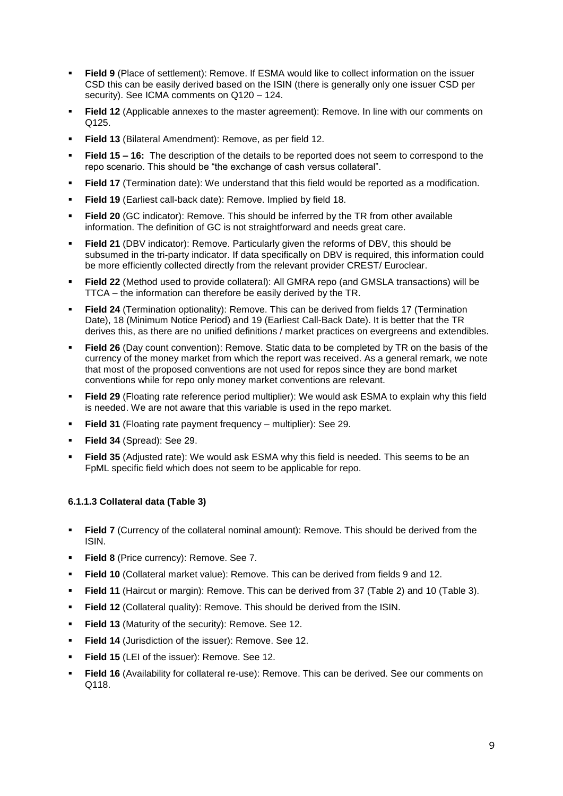- **Field 9** (Place of settlement): Remove. If ESMA would like to collect information on the issuer CSD this can be easily derived based on the ISIN (there is generally only one issuer CSD per security). See ICMA comments on Q120 – 124.
- **Field 12** (Applicable annexes to the master agreement): Remove. In line with our comments on Q125.
- **Field 13** (Bilateral Amendment): Remove, as per field 12.
- **Field 15 – 16:** The description of the details to be reported does not seem to correspond to the repo scenario. This should be "the exchange of cash versus collateral".
- **Field 17** (Termination date): We understand that this field would be reported as a modification.
- **Field 19** (Earliest call-back date): Remove. Implied by field 18.
- **Field 20** (GC indicator): Remove. This should be inferred by the TR from other available information. The definition of GC is not straightforward and needs great care.
- **Field 21** (DBV indicator): Remove. Particularly given the reforms of DBV, this should be subsumed in the tri-party indicator. If data specifically on DBV is required, this information could be more efficiently collected directly from the relevant provider CREST/ Euroclear.
- **Field 22** (Method used to provide collateral): All GMRA repo (and GMSLA transactions) will be TTCA – the information can therefore be easily derived by the TR.
- **Field 24** (Termination optionality): Remove. This can be derived from fields 17 (Termination Date), 18 (Minimum Notice Period) and 19 (Earliest Call-Back Date). It is better that the TR derives this, as there are no unified definitions / market practices on evergreens and extendibles.
- **Field 26** (Day count convention): Remove. Static data to be completed by TR on the basis of the currency of the money market from which the report was received. As a general remark, we note that most of the proposed conventions are not used for repos since they are bond market conventions while for repo only money market conventions are relevant.
- **Field 29** (Floating rate reference period multiplier): We would ask ESMA to explain why this field is needed. We are not aware that this variable is used in the repo market.
- **Field 31** (Floating rate payment frequency multiplier): See 29.
- **Field 34** (Spread): See 29.
- **Field 35** (Adjusted rate): We would ask ESMA why this field is needed. This seems to be an FpML specific field which does not seem to be applicable for repo.

#### **6.1.1.3 Collateral data (Table 3)**

- **Field 7** (Currency of the collateral nominal amount): Remove. This should be derived from the ISIN.
- **Field 8** (Price currency): Remove. See 7.
- **Field 10** (Collateral market value): Remove. This can be derived from fields 9 and 12.
- **Field 11** (Haircut or margin): Remove. This can be derived from 37 (Table 2) and 10 (Table 3).
- **Field 12** (Collateral quality): Remove. This should be derived from the ISIN.
- **Field 13** (Maturity of the security): Remove. See 12.
- **Field 14** (Jurisdiction of the issuer): Remove. See 12.
- **Field 15** (LEI of the issuer): Remove. See 12.
- **Field 16** (Availability for collateral re-use): Remove. This can be derived. See our comments on Q118.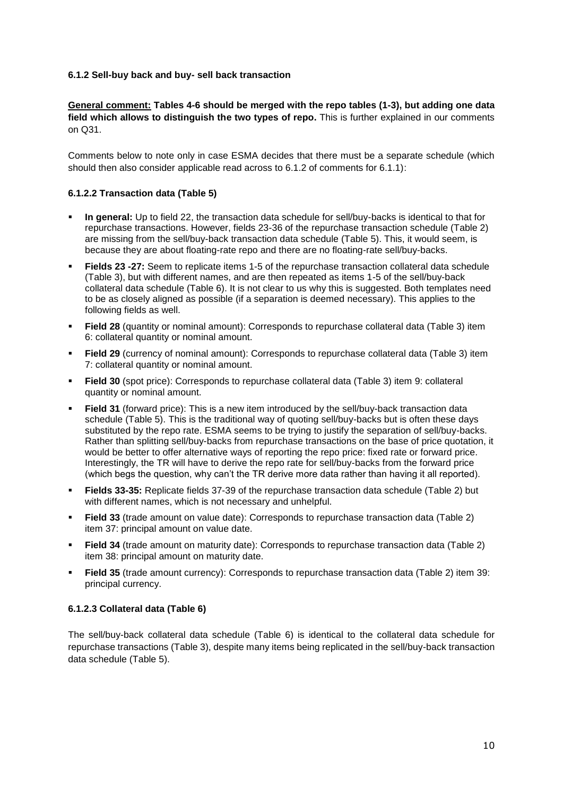#### **6.1.2 Sell-buy back and buy- sell back transaction**

**General comment: Tables 4-6 should be merged with the repo tables (1-3), but adding one data field which allows to distinguish the two types of repo.** This is further explained in our comments on Q31.

Comments below to note only in case ESMA decides that there must be a separate schedule (which should then also consider applicable read across to 6.1.2 of comments for 6.1.1):

#### **6.1.2.2 Transaction data (Table 5)**

- **In general:** Up to field 22, the transaction data schedule for sell/buy-backs is identical to that for repurchase transactions. However, fields 23-36 of the repurchase transaction schedule (Table 2) are missing from the sell/buy-back transaction data schedule (Table 5). This, it would seem, is because they are about floating-rate repo and there are no floating-rate sell/buy-backs.
- **Fields 23 -27:** Seem to replicate items 1-5 of the repurchase transaction collateral data schedule (Table 3), but with different names, and are then repeated as items 1-5 of the sell/buy-back collateral data schedule (Table 6). It is not clear to us why this is suggested. Both templates need to be as closely aligned as possible (if a separation is deemed necessary). This applies to the following fields as well.
- **Field 28** (quantity or nominal amount): Corresponds to repurchase collateral data (Table 3) item 6: collateral quantity or nominal amount.
- **Field 29** (currency of nominal amount): Corresponds to repurchase collateral data (Table 3) item 7: collateral quantity or nominal amount.
- **Field 30** (spot price): Corresponds to repurchase collateral data (Table 3) item 9: collateral quantity or nominal amount.
- **Field 31** (forward price): This is a new item introduced by the sell/buy-back transaction data schedule (Table 5). This is the traditional way of quoting sell/buy-backs but is often these days substituted by the repo rate. ESMA seems to be trying to justify the separation of sell/buy-backs. Rather than splitting sell/buy-backs from repurchase transactions on the base of price quotation, it would be better to offer alternative ways of reporting the repo price: fixed rate or forward price. Interestingly, the TR will have to derive the repo rate for sell/buy-backs from the forward price (which begs the question, why can't the TR derive more data rather than having it all reported).
- **Fields 33-35:** Replicate fields 37-39 of the repurchase transaction data schedule (Table 2) but with different names, which is not necessary and unhelpful.
- **Field 33** (trade amount on value date): Corresponds to repurchase transaction data (Table 2) item 37: principal amount on value date.
- **Field 34** (trade amount on maturity date): Corresponds to repurchase transaction data (Table 2) item 38: principal amount on maturity date.
- **Field 35** (trade amount currency): Corresponds to repurchase transaction data (Table 2) item 39: principal currency.

#### **6.1.2.3 Collateral data (Table 6)**

The sell/buy-back collateral data schedule (Table 6) is identical to the collateral data schedule for repurchase transactions (Table 3), despite many items being replicated in the sell/buy-back transaction data schedule (Table 5).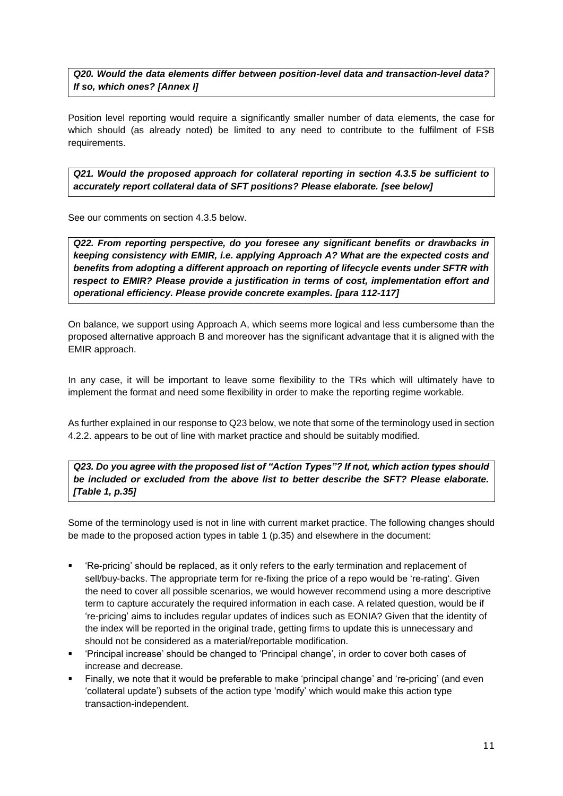*Q20. Would the data elements differ between position-level data and transaction-level data? If so, which ones? [Annex I]* 

Position level reporting would require a significantly smaller number of data elements, the case for which should (as already noted) be limited to any need to contribute to the fulfilment of FSB requirements.

*Q21. Would the proposed approach for collateral reporting in section 4.3.5 be sufficient to accurately report collateral data of SFT positions? Please elaborate. [see below]*

See our comments on section 4.3.5 below.

*Q22. From reporting perspective, do you foresee any significant benefits or drawbacks in keeping consistency with EMIR, i.e. applying Approach A? What are the expected costs and benefits from adopting a different approach on reporting of lifecycle events under SFTR with respect to EMIR? Please provide a justification in terms of cost, implementation effort and operational efficiency. Please provide concrete examples. [para 112-117]*

On balance, we support using Approach A, which seems more logical and less cumbersome than the proposed alternative approach B and moreover has the significant advantage that it is aligned with the EMIR approach.

In any case, it will be important to leave some flexibility to the TRs which will ultimately have to implement the format and need some flexibility in order to make the reporting regime workable.

As further explained in our response to Q23 below, we note that some of the terminology used in section 4.2.2. appears to be out of line with market practice and should be suitably modified.

*Q23. Do you agree with the proposed list of "Action Types"? If not, which action types should be included or excluded from the above list to better describe the SFT? Please elaborate. [Table 1, p.35]*

Some of the terminology used is not in line with current market practice. The following changes should be made to the proposed action types in table 1 (p.35) and elsewhere in the document:

- 'Re-pricing' should be replaced, as it only refers to the early termination and replacement of sell/buy-backs. The appropriate term for re-fixing the price of a repo would be 're-rating'. Given the need to cover all possible scenarios, we would however recommend using a more descriptive term to capture accurately the required information in each case. A related question, would be if 're-pricing' aims to includes regular updates of indices such as EONIA? Given that the identity of the index will be reported in the original trade, getting firms to update this is unnecessary and should not be considered as a material/reportable modification.
- 'Principal increase' should be changed to 'Principal change', in order to cover both cases of increase and decrease.
- Finally, we note that it would be preferable to make 'principal change' and 're-pricing' (and even 'collateral update') subsets of the action type 'modify' which would make this action type transaction-independent.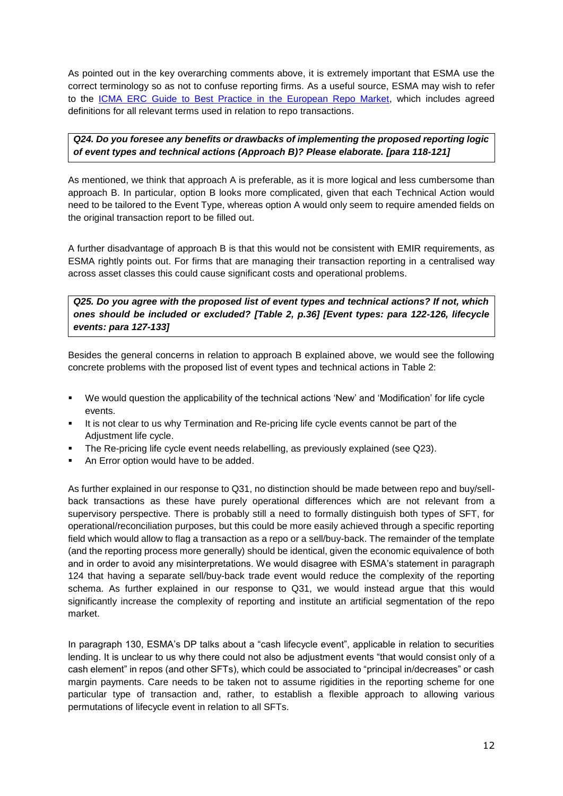As pointed out in the key overarching comments above, it is extremely important that ESMA use the correct terminology so as not to confuse reporting firms. As a useful source, ESMA may wish to refer to the [ICMA ERC Guide to Best Practice in the European Repo Market,](http://www.icmagroup.org/Regulatory-Policy-and-Market-Practice/short-term-markets/Repo-Markets/repo0/) which includes agreed definitions for all relevant terms used in relation to repo transactions.

# *Q24. Do you foresee any benefits or drawbacks of implementing the proposed reporting logic of event types and technical actions (Approach B)? Please elaborate. [para 118-121]*

As mentioned, we think that approach A is preferable, as it is more logical and less cumbersome than approach B. In particular, option B looks more complicated, given that each Technical Action would need to be tailored to the Event Type, whereas option A would only seem to require amended fields on the original transaction report to be filled out.

A further disadvantage of approach B is that this would not be consistent with EMIR requirements, as ESMA rightly points out. For firms that are managing their transaction reporting in a centralised way across asset classes this could cause significant costs and operational problems.

*Q25. Do you agree with the proposed list of event types and technical actions? If not, which ones should be included or excluded? [Table 2, p.36] [Event types: para 122-126, lifecycle events: para 127-133]*

Besides the general concerns in relation to approach B explained above, we would see the following concrete problems with the proposed list of event types and technical actions in Table 2:

- We would question the applicability of the technical actions 'New' and 'Modification' for life cycle events.
- It is not clear to us why Termination and Re-pricing life cycle events cannot be part of the Adjustment life cycle.
- The Re-pricing life cycle event needs relabelling, as previously explained (see Q23).
- An Error option would have to be added.

As further explained in our response to Q31, no distinction should be made between repo and buy/sellback transactions as these have purely operational differences which are not relevant from a supervisory perspective. There is probably still a need to formally distinguish both types of SFT, for operational/reconciliation purposes, but this could be more easily achieved through a specific reporting field which would allow to flag a transaction as a repo or a sell/buy-back. The remainder of the template (and the reporting process more generally) should be identical, given the economic equivalence of both and in order to avoid any misinterpretations. We would disagree with ESMA's statement in paragraph 124 that having a separate sell/buy-back trade event would reduce the complexity of the reporting schema. As further explained in our response to Q31, we would instead argue that this would significantly increase the complexity of reporting and institute an artificial segmentation of the repo market.

In paragraph 130, ESMA's DP talks about a "cash lifecycle event", applicable in relation to securities lending. It is unclear to us why there could not also be adjustment events "that would consist only of a cash element" in repos (and other SFTs), which could be associated to "principal in/decreases" or cash margin payments. Care needs to be taken not to assume rigidities in the reporting scheme for one particular type of transaction and, rather, to establish a flexible approach to allowing various permutations of lifecycle event in relation to all SFTs.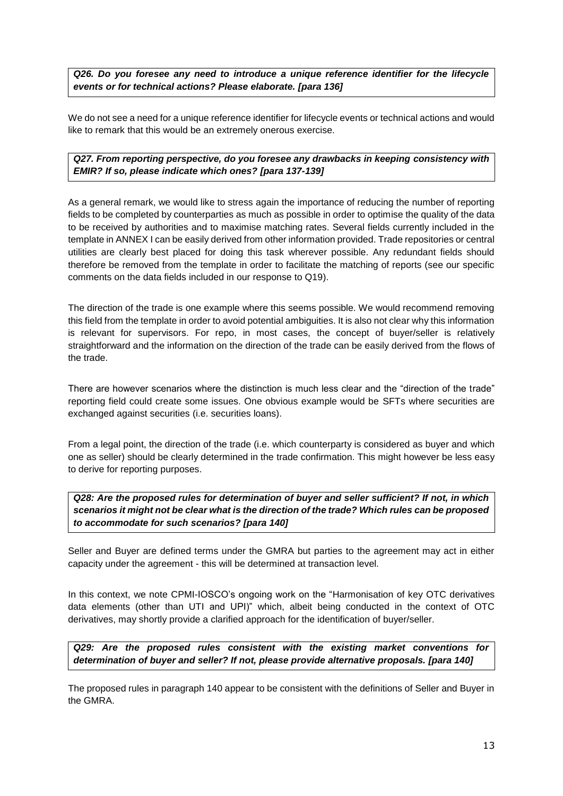*Q26. Do you foresee any need to introduce a unique reference identifier for the lifecycle events or for technical actions? Please elaborate. [para 136]*

We do not see a need for a unique reference identifier for lifecycle events or technical actions and would like to remark that this would be an extremely onerous exercise.

*Q27. From reporting perspective, do you foresee any drawbacks in keeping consistency with EMIR? If so, please indicate which ones? [para 137-139]*

As a general remark, we would like to stress again the importance of reducing the number of reporting fields to be completed by counterparties as much as possible in order to optimise the quality of the data to be received by authorities and to maximise matching rates. Several fields currently included in the template in ANNEX I can be easily derived from other information provided. Trade repositories or central utilities are clearly best placed for doing this task wherever possible. Any redundant fields should therefore be removed from the template in order to facilitate the matching of reports (see our specific comments on the data fields included in our response to Q19).

The direction of the trade is one example where this seems possible. We would recommend removing this field from the template in order to avoid potential ambiguities. It is also not clear why this information is relevant for supervisors. For repo, in most cases, the concept of buyer/seller is relatively straightforward and the information on the direction of the trade can be easily derived from the flows of the trade.

There are however scenarios where the distinction is much less clear and the "direction of the trade" reporting field could create some issues. One obvious example would be SFTs where securities are exchanged against securities (i.e. securities loans).

From a legal point, the direction of the trade (i.e. which counterparty is considered as buyer and which one as seller) should be clearly determined in the trade confirmation. This might however be less easy to derive for reporting purposes.

*Q28: Are the proposed rules for determination of buyer and seller sufficient? If not, in which scenarios it might not be clear what is the direction of the trade? Which rules can be proposed to accommodate for such scenarios? [para 140]*

Seller and Buyer are defined terms under the GMRA but parties to the agreement may act in either capacity under the agreement - this will be determined at transaction level.

In this context, we note CPMI-IOSCO's ongoing work on the "Harmonisation of key OTC derivatives data elements (other than UTI and UPI)" which, albeit being conducted in the context of OTC derivatives, may shortly provide a clarified approach for the identification of buyer/seller.

*Q29: Are the proposed rules consistent with the existing market conventions for determination of buyer and seller? If not, please provide alternative proposals. [para 140]*

The proposed rules in paragraph 140 appear to be consistent with the definitions of Seller and Buyer in the GMRA.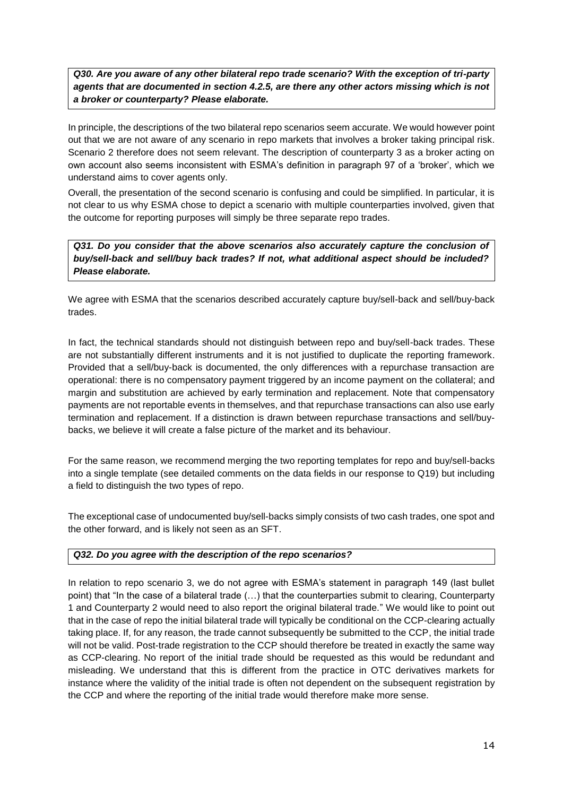*Q30. Are you aware of any other bilateral repo trade scenario? With the exception of tri-party agents that are documented in section 4.2.5, are there any other actors missing which is not a broker or counterparty? Please elaborate.*

In principle, the descriptions of the two bilateral repo scenarios seem accurate. We would however point out that we are not aware of any scenario in repo markets that involves a broker taking principal risk. Scenario 2 therefore does not seem relevant. The description of counterparty 3 as a broker acting on own account also seems inconsistent with ESMA's definition in paragraph 97 of a 'broker', which we understand aims to cover agents only.

Overall, the presentation of the second scenario is confusing and could be simplified. In particular, it is not clear to us why ESMA chose to depict a scenario with multiple counterparties involved, given that the outcome for reporting purposes will simply be three separate repo trades.

*Q31. Do you consider that the above scenarios also accurately capture the conclusion of buy/sell-back and sell/buy back trades? If not, what additional aspect should be included? Please elaborate.*

We agree with ESMA that the scenarios described accurately capture buy/sell-back and sell/buy-back trades.

In fact, the technical standards should not distinguish between repo and buy/sell-back trades. These are not substantially different instruments and it is not justified to duplicate the reporting framework. Provided that a sell/buy-back is documented, the only differences with a repurchase transaction are operational: there is no compensatory payment triggered by an income payment on the collateral; and margin and substitution are achieved by early termination and replacement. Note that compensatory payments are not reportable events in themselves, and that repurchase transactions can also use early termination and replacement. If a distinction is drawn between repurchase transactions and sell/buybacks, we believe it will create a false picture of the market and its behaviour.

For the same reason, we recommend merging the two reporting templates for repo and buy/sell-backs into a single template (see detailed comments on the data fields in our response to Q19) but including a field to distinguish the two types of repo.

The exceptional case of undocumented buy/sell-backs simply consists of two cash trades, one spot and the other forward, and is likely not seen as an SFT.

#### *Q32. Do you agree with the description of the repo scenarios?*

In relation to repo scenario 3, we do not agree with ESMA's statement in paragraph 149 (last bullet point) that "In the case of a bilateral trade (…) that the counterparties submit to clearing, Counterparty 1 and Counterparty 2 would need to also report the original bilateral trade." We would like to point out that in the case of repo the initial bilateral trade will typically be conditional on the CCP-clearing actually taking place. If, for any reason, the trade cannot subsequently be submitted to the CCP, the initial trade will not be valid. Post-trade registration to the CCP should therefore be treated in exactly the same way as CCP-clearing. No report of the initial trade should be requested as this would be redundant and misleading. We understand that this is different from the practice in OTC derivatives markets for instance where the validity of the initial trade is often not dependent on the subsequent registration by the CCP and where the reporting of the initial trade would therefore make more sense.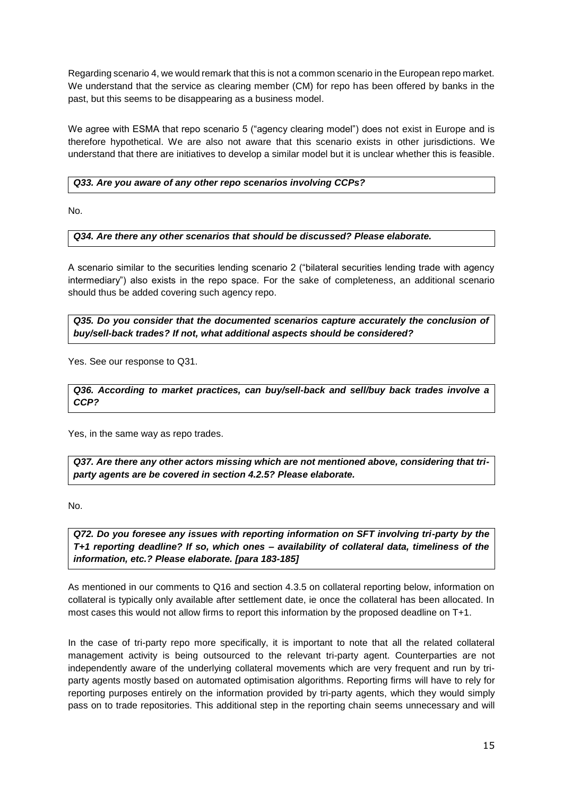Regarding scenario 4, we would remark that this is not a common scenario in the European repo market. We understand that the service as clearing member (CM) for repo has been offered by banks in the past, but this seems to be disappearing as a business model.

We agree with ESMA that repo scenario 5 ("agency clearing model") does not exist in Europe and is therefore hypothetical. We are also not aware that this scenario exists in other jurisdictions. We understand that there are initiatives to develop a similar model but it is unclear whether this is feasible.

#### *Q33. Are you aware of any other repo scenarios involving CCPs?*

No.

# *Q34. Are there any other scenarios that should be discussed? Please elaborate.*

A scenario similar to the securities lending scenario 2 ("bilateral securities lending trade with agency intermediary") also exists in the repo space. For the sake of completeness, an additional scenario should thus be added covering such agency repo.

*Q35. Do you consider that the documented scenarios capture accurately the conclusion of buy/sell-back trades? If not, what additional aspects should be considered?*

Yes. See our response to Q31.

*Q36. According to market practices, can buy/sell-back and sell/buy back trades involve a CCP?*

Yes, in the same way as repo trades.

*Q37. Are there any other actors missing which are not mentioned above, considering that triparty agents are be covered in section 4.2.5? Please elaborate.*

No.

*Q72. Do you foresee any issues with reporting information on SFT involving tri-party by the T+1 reporting deadline? If so, which ones – availability of collateral data, timeliness of the information, etc.? Please elaborate. [para 183-185]*

As mentioned in our comments to Q16 and section 4.3.5 on collateral reporting below, information on collateral is typically only available after settlement date, ie once the collateral has been allocated. In most cases this would not allow firms to report this information by the proposed deadline on T+1.

In the case of tri-party repo more specifically, it is important to note that all the related collateral management activity is being outsourced to the relevant tri-party agent. Counterparties are not independently aware of the underlying collateral movements which are very frequent and run by triparty agents mostly based on automated optimisation algorithms. Reporting firms will have to rely for reporting purposes entirely on the information provided by tri-party agents, which they would simply pass on to trade repositories. This additional step in the reporting chain seems unnecessary and will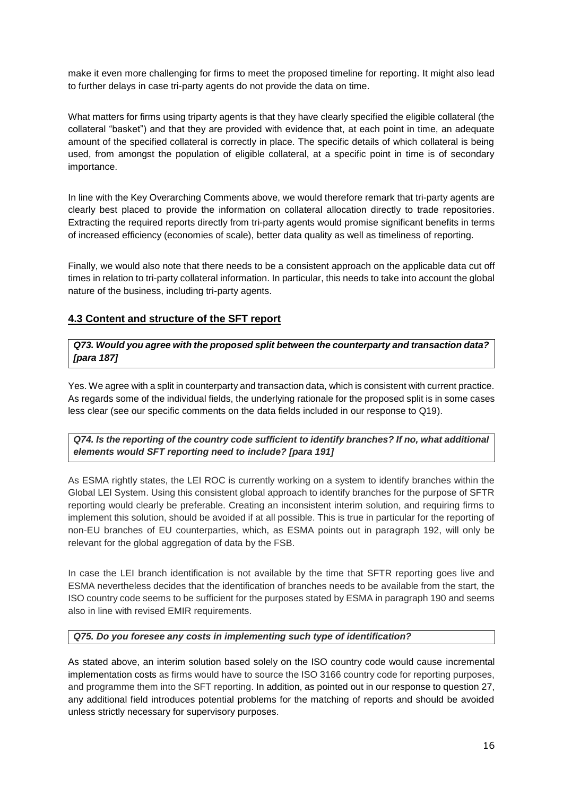make it even more challenging for firms to meet the proposed timeline for reporting. It might also lead to further delays in case tri-party agents do not provide the data on time.

What matters for firms using triparty agents is that they have clearly specified the eligible collateral (the collateral "basket") and that they are provided with evidence that, at each point in time, an adequate amount of the specified collateral is correctly in place. The specific details of which collateral is being used, from amongst the population of eligible collateral, at a specific point in time is of secondary importance.

In line with the Key Overarching Comments above, we would therefore remark that tri-party agents are clearly best placed to provide the information on collateral allocation directly to trade repositories. Extracting the required reports directly from tri-party agents would promise significant benefits in terms of increased efficiency (economies of scale), better data quality as well as timeliness of reporting.

Finally, we would also note that there needs to be a consistent approach on the applicable data cut off times in relation to tri-party collateral information. In particular, this needs to take into account the global nature of the business, including tri-party agents.

# **4.3 Content and structure of the SFT report**

*Q73. Would you agree with the proposed split between the counterparty and transaction data? [para 187]*

Yes. We agree with a split in counterparty and transaction data, which is consistent with current practice. As regards some of the individual fields, the underlying rationale for the proposed split is in some cases less clear (see our specific comments on the data fields included in our response to Q19).

# *Q74. Is the reporting of the country code sufficient to identify branches? If no, what additional elements would SFT reporting need to include? [para 191]*

As ESMA rightly states, the LEI ROC is currently working on a system to identify branches within the Global LEI System. Using this consistent global approach to identify branches for the purpose of SFTR reporting would clearly be preferable. Creating an inconsistent interim solution, and requiring firms to implement this solution, should be avoided if at all possible. This is true in particular for the reporting of non-EU branches of EU counterparties, which, as ESMA points out in paragraph 192, will only be relevant for the global aggregation of data by the FSB.

In case the LEI branch identification is not available by the time that SFTR reporting goes live and ESMA nevertheless decides that the identification of branches needs to be available from the start, the ISO country code seems to be sufficient for the purposes stated by ESMA in paragraph 190 and seems also in line with revised EMIR requirements.

#### *Q75. Do you foresee any costs in implementing such type of identification?*

As stated above, an interim solution based solely on the ISO country code would cause incremental implementation costs as firms would have to source the ISO 3166 country code for reporting purposes, and programme them into the SFT reporting. In addition, as pointed out in our response to question 27, any additional field introduces potential problems for the matching of reports and should be avoided unless strictly necessary for supervisory purposes.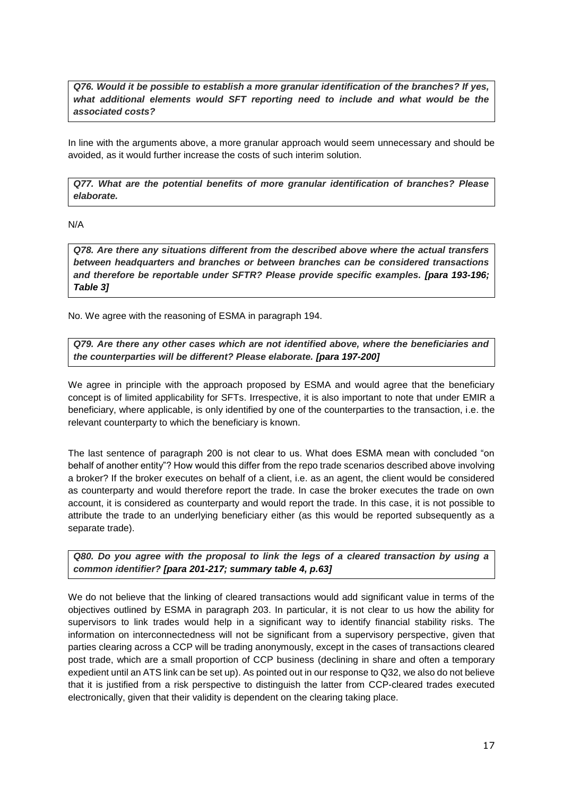*Q76. Would it be possible to establish a more granular identification of the branches? If yes, what additional elements would SFT reporting need to include and what would be the associated costs?*

In line with the arguments above, a more granular approach would seem unnecessary and should be avoided, as it would further increase the costs of such interim solution.

*Q77. What are the potential benefits of more granular identification of branches? Please elaborate.*

N/A

*Q78. Are there any situations different from the described above where the actual transfers between headquarters and branches or between branches can be considered transactions and therefore be reportable under SFTR? Please provide specific examples. [para 193-196; Table 3]*

No. We agree with the reasoning of ESMA in paragraph 194.

*Q79. Are there any other cases which are not identified above, where the beneficiaries and the counterparties will be different? Please elaborate. [para 197-200]*

We agree in principle with the approach proposed by ESMA and would agree that the beneficiary concept is of limited applicability for SFTs. Irrespective, it is also important to note that under EMIR a beneficiary, where applicable, is only identified by one of the counterparties to the transaction, i.e. the relevant counterparty to which the beneficiary is known.

The last sentence of paragraph 200 is not clear to us. What does ESMA mean with concluded "on behalf of another entity"? How would this differ from the repo trade scenarios described above involving a broker? If the broker executes on behalf of a client, i.e. as an agent, the client would be considered as counterparty and would therefore report the trade. In case the broker executes the trade on own account, it is considered as counterparty and would report the trade. In this case, it is not possible to attribute the trade to an underlying beneficiary either (as this would be reported subsequently as a separate trade).

*Q80. Do you agree with the proposal to link the legs of a cleared transaction by using a common identifier? [para 201-217; summary table 4, p.63]*

We do not believe that the linking of cleared transactions would add significant value in terms of the objectives outlined by ESMA in paragraph 203. In particular, it is not clear to us how the ability for supervisors to link trades would help in a significant way to identify financial stability risks. The information on interconnectedness will not be significant from a supervisory perspective, given that parties clearing across a CCP will be trading anonymously, except in the cases of transactions cleared post trade, which are a small proportion of CCP business (declining in share and often a temporary expedient until an ATS link can be set up). As pointed out in our response to Q32, we also do not believe that it is justified from a risk perspective to distinguish the latter from CCP-cleared trades executed electronically, given that their validity is dependent on the clearing taking place.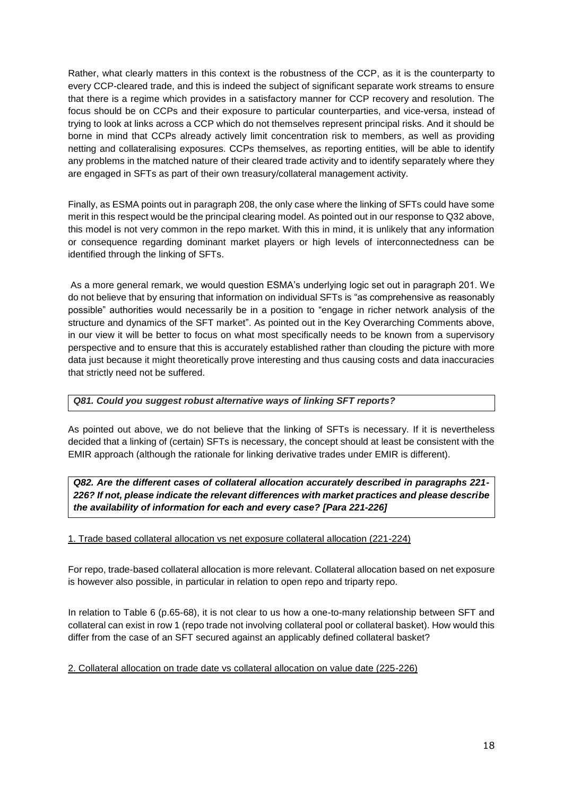Rather, what clearly matters in this context is the robustness of the CCP, as it is the counterparty to every CCP-cleared trade, and this is indeed the subject of significant separate work streams to ensure that there is a regime which provides in a satisfactory manner for CCP recovery and resolution. The focus should be on CCPs and their exposure to particular counterparties, and vice-versa, instead of trying to look at links across a CCP which do not themselves represent principal risks. And it should be borne in mind that CCPs already actively limit concentration risk to members, as well as providing netting and collateralising exposures. CCPs themselves, as reporting entities, will be able to identify any problems in the matched nature of their cleared trade activity and to identify separately where they are engaged in SFTs as part of their own treasury/collateral management activity.

Finally, as ESMA points out in paragraph 208, the only case where the linking of SFTs could have some merit in this respect would be the principal clearing model. As pointed out in our response to Q32 above, this model is not very common in the repo market. With this in mind, it is unlikely that any information or consequence regarding dominant market players or high levels of interconnectedness can be identified through the linking of SFTs.

As a more general remark, we would question ESMA's underlying logic set out in paragraph 201. We do not believe that by ensuring that information on individual SFTs is "as comprehensive as reasonably possible" authorities would necessarily be in a position to "engage in richer network analysis of the structure and dynamics of the SFT market". As pointed out in the Key Overarching Comments above, in our view it will be better to focus on what most specifically needs to be known from a supervisory perspective and to ensure that this is accurately established rather than clouding the picture with more data just because it might theoretically prove interesting and thus causing costs and data inaccuracies that strictly need not be suffered.

#### *Q81. Could you suggest robust alternative ways of linking SFT reports?*

As pointed out above, we do not believe that the linking of SFTs is necessary. If it is nevertheless decided that a linking of (certain) SFTs is necessary, the concept should at least be consistent with the EMIR approach (although the rationale for linking derivative trades under EMIR is different).

*Q82. Are the different cases of collateral allocation accurately described in paragraphs 221- 226? If not, please indicate the relevant differences with market practices and please describe the availability of information for each and every case? [Para 221-226]*

#### 1. Trade based collateral allocation vs net exposure collateral allocation (221-224)

For repo, trade-based collateral allocation is more relevant. Collateral allocation based on net exposure is however also possible, in particular in relation to open repo and triparty repo.

In relation to Table 6 (p.65-68), it is not clear to us how a one-to-many relationship between SFT and collateral can exist in row 1 (repo trade not involving collateral pool or collateral basket). How would this differ from the case of an SFT secured against an applicably defined collateral basket?

#### 2. Collateral allocation on trade date vs collateral allocation on value date (225-226)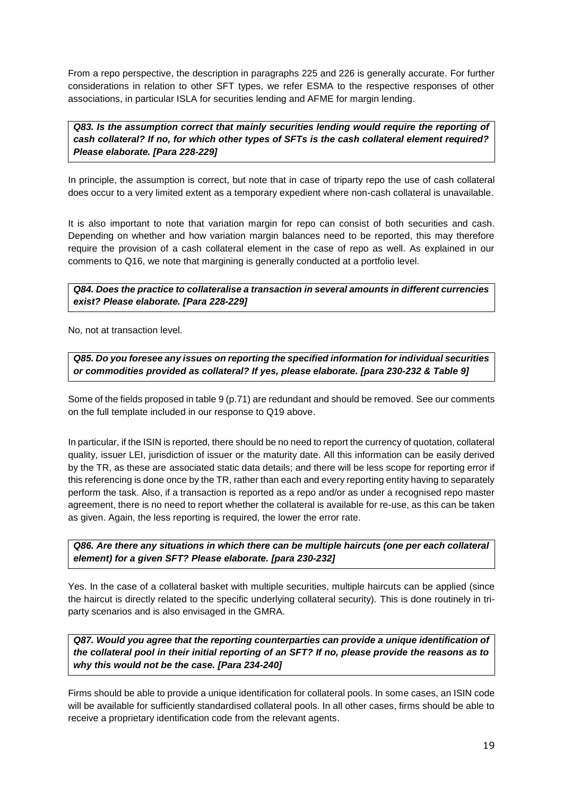From a repo perspective, the description in paragraphs 225 and 226 is generally accurate. For further considerations in relation to other SFT types, we refer ESMA to the respective responses of other associations, in particular ISLA for securities lending and AFME for margin lending.

*Q83. Is the assumption correct that mainly securities lending would require the reporting of cash collateral? If no, for which other types of SFTs is the cash collateral element required? Please elaborate. [Para 228-229]*

In principle, the assumption is correct, but note that in case of triparty repo the use of cash collateral does occur to a very limited extent as a temporary expedient where non-cash collateral is unavailable.

It is also important to note that variation margin for repo can consist of both securities and cash. Depending on whether and how variation margin balances need to be reported, this may therefore require the provision of a cash collateral element in the case of repo as well. As explained in our comments to Q16, we note that margining is generally conducted at a portfolio level.

#### *Q84. Does the practice to collateralise a transaction in several amounts in different currencies exist? Please elaborate. [Para 228-229]*

No, not at transaction level.

*Q85. Do you foresee any issues on reporting the specified information for individual securities or commodities provided as collateral? If yes, please elaborate. [para 230-232 & Table 9]*

Some of the fields proposed in table 9 (p.71) are redundant and should be removed. See our comments on the full template included in our response to Q19 above.

In particular, if the ISIN is reported, there should be no need to report the currency of quotation, collateral quality, issuer LEI, jurisdiction of issuer or the maturity date. All this information can be easily derived by the TR, as these are associated static data details; and there will be less scope for reporting error if this referencing is done once by the TR, rather than each and every reporting entity having to separately perform the task. Also, if a transaction is reported as a repo and/or as under a recognised repo master agreement, there is no need to report whether the collateral is available for re-use, as this can be taken as given. Again, the less reporting is required, the lower the error rate.

#### *Q86. Are there any situations in which there can be multiple haircuts (one per each collateral element) for a given SFT? Please elaborate. [para 230-232]*

Yes. In the case of a collateral basket with multiple securities, multiple haircuts can be applied (since the haircut is directly related to the specific underlying collateral security). This is done routinely in triparty scenarios and is also envisaged in the GMRA.

Q87. Would you agree that the reporting counterparties can provide a unique identification of *the collateral pool in their initial reporting of an SFT? If no, please provide the reasons as to why this would not be the case. [Para 234-240]*

Firms should be able to provide a unique identification for collateral pools. In some cases, an ISIN code will be available for sufficiently standardised collateral pools. In all other cases, firms should be able to receive a proprietary identification code from the relevant agents.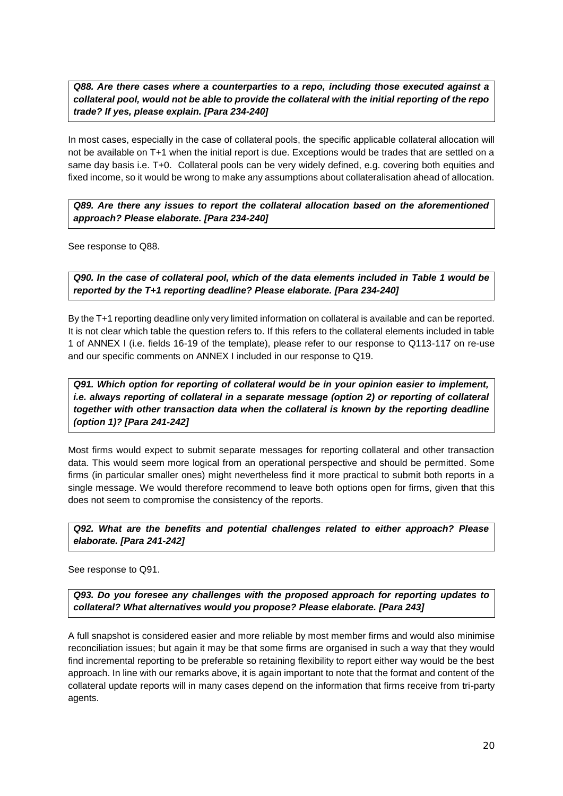*Q88. Are there cases where a counterparties to a repo, including those executed against a collateral pool, would not be able to provide the collateral with the initial reporting of the repo trade? If yes, please explain. [Para 234-240]*

In most cases, especially in the case of collateral pools, the specific applicable collateral allocation will not be available on T+1 when the initial report is due. Exceptions would be trades that are settled on a same day basis i.e. T+0. Collateral pools can be very widely defined, e.g. covering both equities and fixed income, so it would be wrong to make any assumptions about collateralisation ahead of allocation.

*Q89. Are there any issues to report the collateral allocation based on the aforementioned approach? Please elaborate. [Para 234-240]*

See response to Q88.

*Q90. In the case of collateral pool, which of the data elements included in Table 1 would be reported by the T+1 reporting deadline? Please elaborate. [Para 234-240]*

By the T+1 reporting deadline only very limited information on collateral is available and can be reported. It is not clear which table the question refers to. If this refers to the collateral elements included in table 1 of ANNEX I (i.e. fields 16-19 of the template), please refer to our response to Q113-117 on re-use and our specific comments on ANNEX I included in our response to Q19.

*Q91. Which option for reporting of collateral would be in your opinion easier to implement, i.e. always reporting of collateral in a separate message (option 2) or reporting of collateral together with other transaction data when the collateral is known by the reporting deadline (option 1)? [Para 241-242]*

Most firms would expect to submit separate messages for reporting collateral and other transaction data. This would seem more logical from an operational perspective and should be permitted. Some firms (in particular smaller ones) might nevertheless find it more practical to submit both reports in a single message. We would therefore recommend to leave both options open for firms, given that this does not seem to compromise the consistency of the reports.

*Q92. What are the benefits and potential challenges related to either approach? Please elaborate. [Para 241-242]*

See response to Q91.

*Q93. Do you foresee any challenges with the proposed approach for reporting updates to collateral? What alternatives would you propose? Please elaborate. [Para 243]*

A full snapshot is considered easier and more reliable by most member firms and would also minimise reconciliation issues; but again it may be that some firms are organised in such a way that they would find incremental reporting to be preferable so retaining flexibility to report either way would be the best approach. In line with our remarks above, it is again important to note that the format and content of the collateral update reports will in many cases depend on the information that firms receive from tri-party agents.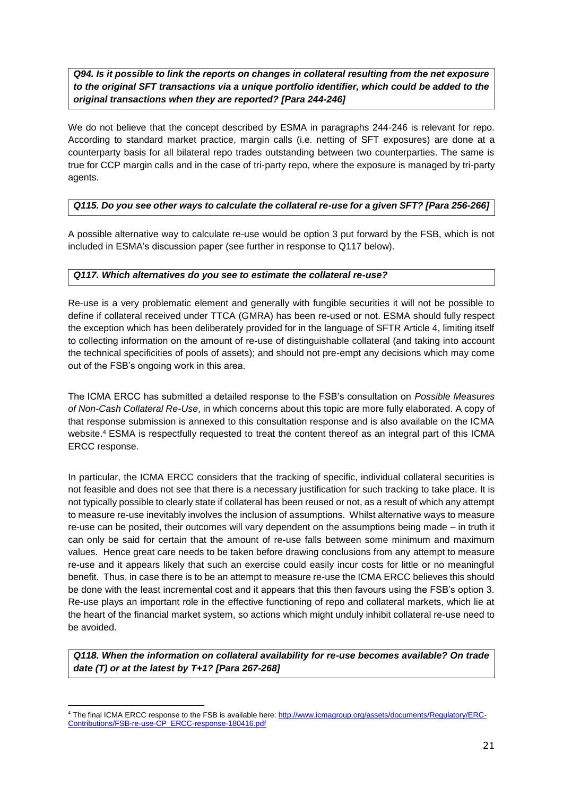*Q94. Is it possible to link the reports on changes in collateral resulting from the net exposure to the original SFT transactions via a unique portfolio identifier, which could be added to the original transactions when they are reported? [Para 244-246]*

We do not believe that the concept described by ESMA in paragraphs 244-246 is relevant for repo. According to standard market practice, margin calls (i.e. netting of SFT exposures) are done at a counterparty basis for all bilateral repo trades outstanding between two counterparties. The same is true for CCP margin calls and in the case of tri-party repo, where the exposure is managed by tri-party agents.

# *Q115. Do you see other ways to calculate the collateral re-use for a given SFT? [Para 256-266]*

A possible alternative way to calculate re-use would be option 3 put forward by the FSB, which is not included in ESMA's discussion paper (see further in response to Q117 below).

#### *Q117. Which alternatives do you see to estimate the collateral re-use?*

Re-use is a very problematic element and generally with fungible securities it will not be possible to define if collateral received under TTCA (GMRA) has been re-used or not. ESMA should fully respect the exception which has been deliberately provided for in the language of SFTR Article 4, limiting itself to collecting information on the amount of re-use of distinguishable collateral (and taking into account the technical specificities of pools of assets); and should not pre-empt any decisions which may come out of the FSB's ongoing work in this area.

The ICMA ERCC has submitted a detailed response to the FSB's consultation on *Possible Measures of Non-Cash Collateral Re-Use*, in which concerns about this topic are more fully elaborated. A copy of that response submission is annexed to this consultation response and is also available on the ICMA website.<sup>4</sup> ESMA is respectfully requested to treat the content thereof as an integral part of this ICMA ERCC response.

In particular, the ICMA ERCC considers that the tracking of specific, individual collateral securities is not feasible and does not see that there is a necessary justification for such tracking to take place. It is not typically possible to clearly state if collateral has been reused or not, as a result of which any attempt to measure re-use inevitably involves the inclusion of assumptions. Whilst alternative ways to measure re-use can be posited, their outcomes will vary dependent on the assumptions being made – in truth it can only be said for certain that the amount of re-use falls between some minimum and maximum values. Hence great care needs to be taken before drawing conclusions from any attempt to measure re-use and it appears likely that such an exercise could easily incur costs for little or no meaningful benefit. Thus, in case there is to be an attempt to measure re-use the ICMA ERCC believes this should be done with the least incremental cost and it appears that this then favours using the FSB's option 3. Re-use plays an important role in the effective functioning of repo and collateral markets, which lie at the heart of the financial market system, so actions which might unduly inhibit collateral re-use need to be avoided.

*Q118. When the information on collateral availability for re-use becomes available? On trade date (T) or at the latest by T+1? [Para 267-268]*

<sup>-</sup><sup>4</sup> The final ICMA ERCC response to the FSB is available here[: http://www.icmagroup.org/assets/documents/Regulatory/ERC-](http://www.icmagroup.org/assets/documents/Regulatory/ERC-Contributions/FSB-re-use-CP_ERCC-response-180416.pdf)[Contributions/FSB-re-use-CP\\_ERCC-response-180416.pdf](http://www.icmagroup.org/assets/documents/Regulatory/ERC-Contributions/FSB-re-use-CP_ERCC-response-180416.pdf)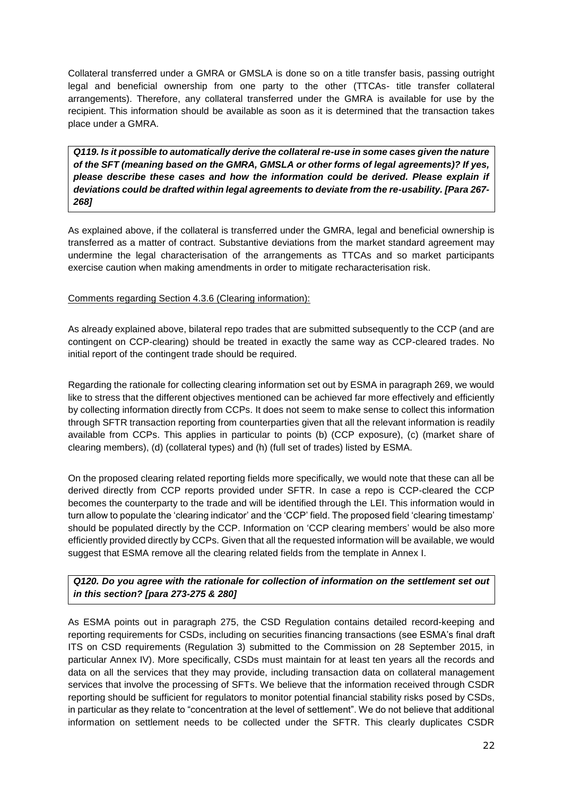Collateral transferred under a GMRA or GMSLA is done so on a title transfer basis, passing outright legal and beneficial ownership from one party to the other (TTCAs- title transfer collateral arrangements). Therefore, any collateral transferred under the GMRA is available for use by the recipient. This information should be available as soon as it is determined that the transaction takes place under a GMRA.

*Q119. Is it possible to automatically derive the collateral re-use in some cases given the nature of the SFT (meaning based on the GMRA, GMSLA or other forms of legal agreements)? If yes, please describe these cases and how the information could be derived. Please explain if deviations could be drafted within legal agreements to deviate from the re-usability. [Para 267- 268]*

As explained above, if the collateral is transferred under the GMRA, legal and beneficial ownership is transferred as a matter of contract. Substantive deviations from the market standard agreement may undermine the legal characterisation of the arrangements as TTCAs and so market participants exercise caution when making amendments in order to mitigate recharacterisation risk.

#### Comments regarding Section 4.3.6 (Clearing information):

As already explained above, bilateral repo trades that are submitted subsequently to the CCP (and are contingent on CCP-clearing) should be treated in exactly the same way as CCP-cleared trades. No initial report of the contingent trade should be required.

Regarding the rationale for collecting clearing information set out by ESMA in paragraph 269, we would like to stress that the different objectives mentioned can be achieved far more effectively and efficiently by collecting information directly from CCPs. It does not seem to make sense to collect this information through SFTR transaction reporting from counterparties given that all the relevant information is readily available from CCPs. This applies in particular to points (b) (CCP exposure), (c) (market share of clearing members), (d) (collateral types) and (h) (full set of trades) listed by ESMA.

On the proposed clearing related reporting fields more specifically, we would note that these can all be derived directly from CCP reports provided under SFTR. In case a repo is CCP-cleared the CCP becomes the counterparty to the trade and will be identified through the LEI. This information would in turn allow to populate the 'clearing indicator' and the 'CCP' field. The proposed field 'clearing timestamp' should be populated directly by the CCP. Information on 'CCP clearing members' would be also more efficiently provided directly by CCPs. Given that all the requested information will be available, we would suggest that ESMA remove all the clearing related fields from the template in Annex I.

# *Q120. Do you agree with the rationale for collection of information on the settlement set out in this section? [para 273-275 & 280]*

As ESMA points out in paragraph 275, the CSD Regulation contains detailed record-keeping and reporting requirements for CSDs, including on securities financing transactions (see ESMA's final draft ITS on CSD requirements (Regulation 3) submitted to the Commission on 28 September 2015, in particular Annex IV). More specifically, CSDs must maintain for at least ten years all the records and data on all the services that they may provide, including transaction data on collateral management services that involve the processing of SFTs. We believe that the information received through CSDR reporting should be sufficient for regulators to monitor potential financial stability risks posed by CSDs, in particular as they relate to "concentration at the level of settlement". We do not believe that additional information on settlement needs to be collected under the SFTR. This clearly duplicates CSDR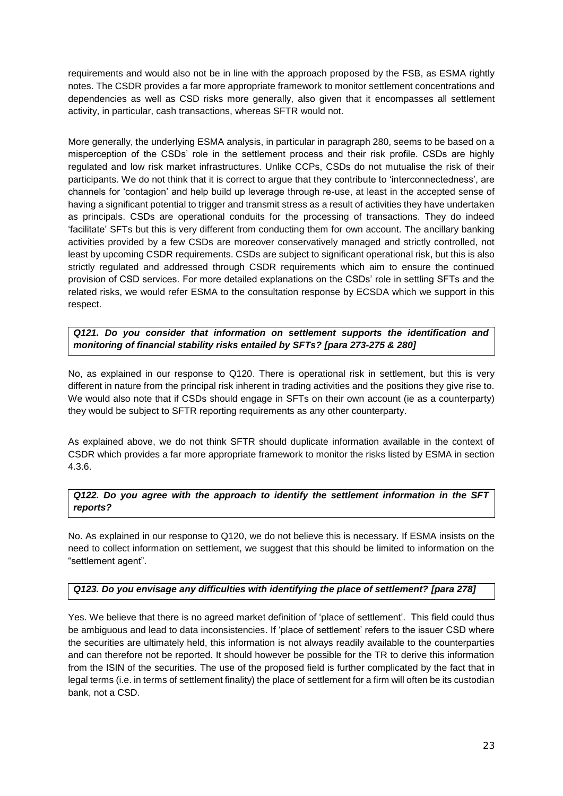requirements and would also not be in line with the approach proposed by the FSB, as ESMA rightly notes. The CSDR provides a far more appropriate framework to monitor settlement concentrations and dependencies as well as CSD risks more generally, also given that it encompasses all settlement activity, in particular, cash transactions, whereas SFTR would not.

More generally, the underlying ESMA analysis, in particular in paragraph 280, seems to be based on a misperception of the CSDs' role in the settlement process and their risk profile. CSDs are highly regulated and low risk market infrastructures. Unlike CCPs, CSDs do not mutualise the risk of their participants. We do not think that it is correct to argue that they contribute to 'interconnectedness', are channels for 'contagion' and help build up leverage through re-use, at least in the accepted sense of having a significant potential to trigger and transmit stress as a result of activities they have undertaken as principals. CSDs are operational conduits for the processing of transactions. They do indeed 'facilitate' SFTs but this is very different from conducting them for own account. The ancillary banking activities provided by a few CSDs are moreover conservatively managed and strictly controlled, not least by upcoming CSDR requirements. CSDs are subject to significant operational risk, but this is also strictly regulated and addressed through CSDR requirements which aim to ensure the continued provision of CSD services. For more detailed explanations on the CSDs' role in settling SFTs and the related risks, we would refer ESMA to the consultation response by ECSDA which we support in this respect.

*Q121. Do you consider that information on settlement supports the identification and monitoring of financial stability risks entailed by SFTs? [para 273-275 & 280]*

No, as explained in our response to Q120. There is operational risk in settlement, but this is very different in nature from the principal risk inherent in trading activities and the positions they give rise to. We would also note that if CSDs should engage in SFTs on their own account (ie as a counterparty) they would be subject to SFTR reporting requirements as any other counterparty.

As explained above, we do not think SFTR should duplicate information available in the context of CSDR which provides a far more appropriate framework to monitor the risks listed by ESMA in section 4.3.6.

# *Q122. Do you agree with the approach to identify the settlement information in the SFT reports?*

No. As explained in our response to Q120, we do not believe this is necessary. If ESMA insists on the need to collect information on settlement, we suggest that this should be limited to information on the "settlement agent".

# *Q123. Do you envisage any difficulties with identifying the place of settlement? [para 278]*

Yes. We believe that there is no agreed market definition of 'place of settlement'. This field could thus be ambiguous and lead to data inconsistencies. If 'place of settlement' refers to the issuer CSD where the securities are ultimately held, this information is not always readily available to the counterparties and can therefore not be reported. It should however be possible for the TR to derive this information from the ISIN of the securities. The use of the proposed field is further complicated by the fact that in legal terms (i.e. in terms of settlement finality) the place of settlement for a firm will often be its custodian bank, not a CSD.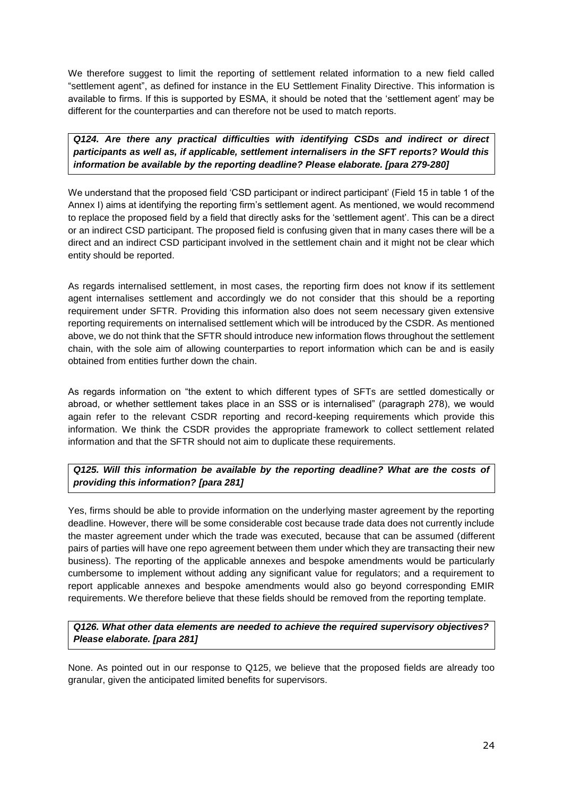We therefore suggest to limit the reporting of settlement related information to a new field called "settlement agent", as defined for instance in the EU Settlement Finality Directive. This information is available to firms. If this is supported by ESMA, it should be noted that the 'settlement agent' may be different for the counterparties and can therefore not be used to match reports.

*Q124. Are there any practical difficulties with identifying CSDs and indirect or direct participants as well as, if applicable, settlement internalisers in the SFT reports? Would this information be available by the reporting deadline? Please elaborate. [para 279-280]*

We understand that the proposed field 'CSD participant or indirect participant' (Field 15 in table 1 of the Annex I) aims at identifying the reporting firm's settlement agent. As mentioned, we would recommend to replace the proposed field by a field that directly asks for the 'settlement agent'. This can be a direct or an indirect CSD participant. The proposed field is confusing given that in many cases there will be a direct and an indirect CSD participant involved in the settlement chain and it might not be clear which entity should be reported.

As regards internalised settlement, in most cases, the reporting firm does not know if its settlement agent internalises settlement and accordingly we do not consider that this should be a reporting requirement under SFTR. Providing this information also does not seem necessary given extensive reporting requirements on internalised settlement which will be introduced by the CSDR. As mentioned above, we do not think that the SFTR should introduce new information flows throughout the settlement chain, with the sole aim of allowing counterparties to report information which can be and is easily obtained from entities further down the chain.

As regards information on "the extent to which different types of SFTs are settled domestically or abroad, or whether settlement takes place in an SSS or is internalised" (paragraph 278), we would again refer to the relevant CSDR reporting and record-keeping requirements which provide this information. We think the CSDR provides the appropriate framework to collect settlement related information and that the SFTR should not aim to duplicate these requirements.

# *Q125. Will this information be available by the reporting deadline? What are the costs of providing this information? [para 281]*

Yes, firms should be able to provide information on the underlying master agreement by the reporting deadline. However, there will be some considerable cost because trade data does not currently include the master agreement under which the trade was executed, because that can be assumed (different pairs of parties will have one repo agreement between them under which they are transacting their new business). The reporting of the applicable annexes and bespoke amendments would be particularly cumbersome to implement without adding any significant value for regulators; and a requirement to report applicable annexes and bespoke amendments would also go beyond corresponding EMIR requirements. We therefore believe that these fields should be removed from the reporting template.

*Q126. What other data elements are needed to achieve the required supervisory objectives? Please elaborate. [para 281]*

None. As pointed out in our response to Q125, we believe that the proposed fields are already too granular, given the anticipated limited benefits for supervisors.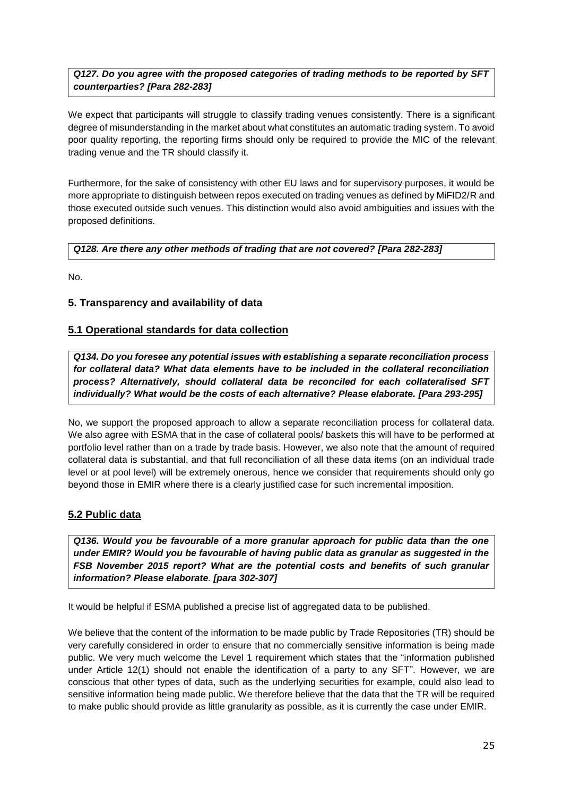# *Q127. Do you agree with the proposed categories of trading methods to be reported by SFT counterparties? [Para 282-283]*

We expect that participants will struggle to classify trading venues consistently. There is a significant degree of misunderstanding in the market about what constitutes an automatic trading system. To avoid poor quality reporting, the reporting firms should only be required to provide the MIC of the relevant trading venue and the TR should classify it.

Furthermore, for the sake of consistency with other EU laws and for supervisory purposes, it would be more appropriate to distinguish between repos executed on trading venues as defined by MiFID2/R and those executed outside such venues. This distinction would also avoid ambiguities and issues with the proposed definitions.

# *Q128. Are there any other methods of trading that are not covered? [Para 282-283]*

No.

# **5. Transparency and availability of data**

# **5.1 Operational standards for data collection**

*Q134. Do you foresee any potential issues with establishing a separate reconciliation process for collateral data? What data elements have to be included in the collateral reconciliation process? Alternatively, should collateral data be reconciled for each collateralised SFT individually? What would be the costs of each alternative? Please elaborate. [Para 293-295]*

No, we support the proposed approach to allow a separate reconciliation process for collateral data. We also agree with ESMA that in the case of collateral pools/ baskets this will have to be performed at portfolio level rather than on a trade by trade basis. However, we also note that the amount of required collateral data is substantial, and that full reconciliation of all these data items (on an individual trade level or at pool level) will be extremely onerous, hence we consider that requirements should only go beyond those in EMIR where there is a clearly justified case for such incremental imposition.

# **5.2 Public data**

*Q136. Would you be favourable of a more granular approach for public data than the one under EMIR? Would you be favourable of having public data as granular as suggested in the FSB November 2015 report? What are the potential costs and benefits of such granular information? Please elaborate. [para 302-307]*

It would be helpful if ESMA published a precise list of aggregated data to be published.

We believe that the content of the information to be made public by Trade Repositories (TR) should be very carefully considered in order to ensure that no commercially sensitive information is being made public. We very much welcome the Level 1 requirement which states that the "information published under Article 12(1) should not enable the identification of a party to any SFT". However, we are conscious that other types of data, such as the underlying securities for example, could also lead to sensitive information being made public. We therefore believe that the data that the TR will be required to make public should provide as little granularity as possible, as it is currently the case under EMIR.